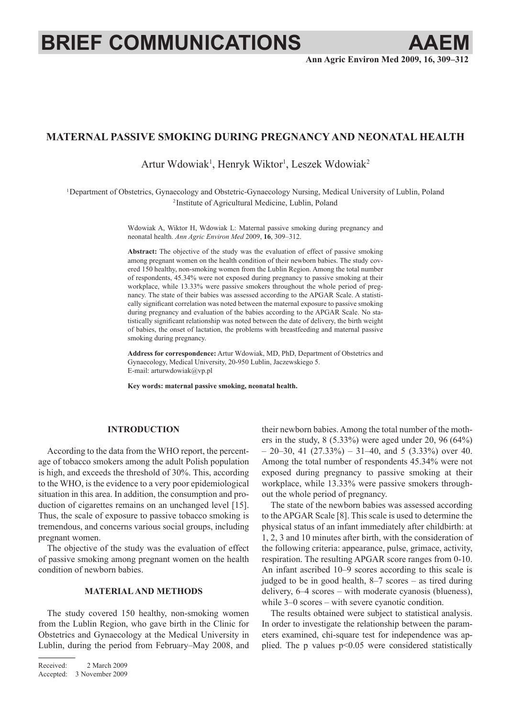# **BRIEF COMMUNICATIONS AAEM**

## **Maternal passive smoking during pregnancy and neonatal health**

Artur Wdowiak<sup>1</sup>, Henryk Wiktor<sup>1</sup>, Leszek Wdowiak<sup>2</sup>

1Department of Obstetrics, Gynaecology and Obstetric-Gynaecology Nursing, Medical University of Lublin, Poland <sup>2</sup> Institute of Agricultural Medicine, Lublin, Poland

> Wdowiak A, Wiktor H, Wdowiak L: Maternal passive smoking during pregnancy and neonatal health. *Ann Agric Environ Med* 2009, **16**, 309–312.

> **Abstract:** The objective of the study was the evaluation of effect of passive smoking among pregnant women on the health condition of their newborn babies. The study covered 150 healthy, non-smoking women from the Lublin Region. Among the total number of respondents, 45.34% were not exposed during pregnancy to passive smoking at their workplace, while 13.33% were passive smokers throughout the whole period of pregnancy. The state of their babies was assessed according to the APGAR Scale. A statistically significant correlation was noted between the maternal exposure to passive smoking during pregnancy and evaluation of the babies according to the APGAR Scale. No statistically significant relationship was noted between the date of delivery, the birth weight of babies, the onset of lactation, the problems with breastfeeding and maternal passive smoking during pregnancy.

> **Address for correspondence:** Artur Wdowiak, MD, PhD, Department of Obstetrics and Gynaecology, Medical University, 20-950 Lublin, Jaczewskiego 5. E-mail: arturwdowiak@vp.pl

**Key words: maternal passive smoking, neonatal health.**

## **INTRODUCTION**

According to the data from the WHO report, the percentage of tobacco smokers among the adult Polish population is high, and exceeds the threshold of 30%. This, according to the WHO, is the evidence to a very poor epidemiological situation in this area. In addition, the consumption and production of cigarettes remains on an unchanged level [15]. Thus, the scale of exposure to passive tobacco smoking is tremendous, and concerns various social groups, including pregnant women.

The objective of the study was the evaluation of effect of passive smoking among pregnant women on the health condition of newborn babies.

## **MATERIAL AND METHODS**

The study covered 150 healthy, non-smoking women from the Lublin Region, who gave birth in the Clinic for Obstetrics and Gynaecology at the Medical University in Lublin, during the period from February–May 2008, and

Received: 2 March 2009 Accepted: 3 November 2009 their newborn babies. Among the total number of the mothers in the study,  $8$  (5.33%) were aged under 20, 96 (64%) – 20–30, 41 (27.33%) – 31–40, and 5 (3.33%) over 40. Among the total number of respondents 45.34% were not exposed during pregnancy to passive smoking at their workplace, while 13.33% were passive smokers throughout the whole period of pregnancy.

The state of the newborn babies was assessed according to the APGAR Scale [8]. This scale is used to determine the physical status of an infant immediately after childbirth: at 1, 2, 3 and 10 minutes after birth, with the consideration of the following criteria: appearance, pulse, grimace, activity, respiration. The resulting APGAR score ranges from 0-10. An infant ascribed 10–9 scores according to this scale is judged to be in good health, 8–7 scores – as tired during delivery, 6–4 scores – with moderate cyanosis (blueness), while 3–0 scores – with severe cyanotic condition.

The results obtained were subject to statistical analysis. In order to investigate the relationship between the parameters examined, chi-square test for independence was applied. The p values p<0.05 were considered statistically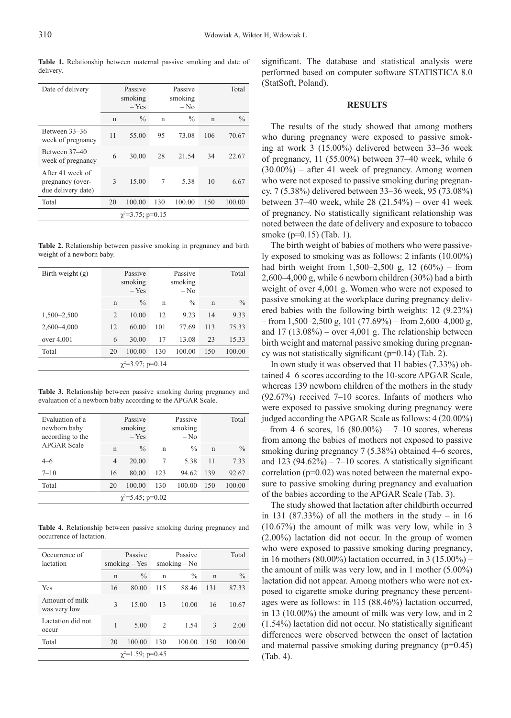| Date of delivery                                           |    | Passive<br>smoking<br>$-$ Yes |     | Passive<br>smoking<br>$-$ No |     | Total         |
|------------------------------------------------------------|----|-------------------------------|-----|------------------------------|-----|---------------|
|                                                            | n  | $\frac{0}{0}$                 | n   | $\frac{0}{0}$                | n   | $\frac{0}{0}$ |
| Between 33–36<br>week of pregnancy                         | 11 | 55.00                         | 95  | 73.08                        | 106 | 70.67         |
| Between 37–40<br>week of pregnancy                         | 6  | 30.00                         | 28  | 21.54                        | 34  | 22.67         |
| After 41 week of<br>pregnancy (over-<br>due delivery date) | 3  | 15.00                         | 7   | 5.38                         | 10  | 6.67          |
| Total                                                      | 20 | 100.00                        | 130 | 100.00                       | 150 | 100.00        |
| $\gamma^2 = 3.75$ ; p=0.15                                 |    |                               |     |                              |     |               |

**Table 1.** Relationship between maternal passive smoking and date of delivery.

**Table 2.** Relationship between passive smoking in pregnancy and birth weight of a newborn baby.

| Birth weight $(g)$         | Passive<br>smoking<br>$-$ Yes |               | Passive<br>smoking<br>$-$ No |               | Total       |               |
|----------------------------|-------------------------------|---------------|------------------------------|---------------|-------------|---------------|
|                            | n                             | $\frac{0}{0}$ | n                            | $\frac{0}{0}$ | $\mathbf n$ | $\frac{0}{0}$ |
| 1,500-2,500                | $\mathfrak{D}$                | 10.00         | 12                           | 9.23          | 14          | 9.33          |
| $2,600 - 4,000$            | 12                            | 60.00         | 101                          | 77.69         | 113         | 75.33         |
| over $4,001$               | 6                             | 30.00         | 17                           | 13.08         | 23          | 15.33         |
| Total                      | 20                            | 100.00        | 130                          | 100.00        | 150         | 100.00        |
| $\gamma^2 = 3.97$ ; p=0.14 |                               |               |                              |               |             |               |

**Table 3.** Relationship between passive smoking during pregnancy and evaluation of a newborn baby according to the APGAR Scale.

| Evaluation of a<br>newborn baby<br>according to the |    | Passive<br>smoking<br>$-$ Yes |     | Passive<br>smoking<br>$-$ No |     | Total         |
|-----------------------------------------------------|----|-------------------------------|-----|------------------------------|-----|---------------|
| <b>APGAR Scale</b>                                  | n  | $\frac{0}{0}$                 | n   | $\frac{0}{0}$                | n   | $\frac{0}{0}$ |
| $4 - 6$                                             | 4  | 20.00                         |     | 5.38                         | 11  | 7.33          |
| $7 - 10$                                            | 16 | 80.00                         | 123 | 94.62                        | 139 | 92.67         |
| Total                                               | 20 | 100.00                        | 130 | 100.00                       | 150 | 100.00        |
| $\gamma^2 = 5.45$ ; p=0.02                          |    |                               |     |                              |     |               |

**Table 4.** Relationship between passive smoking during pregnancy and occurrence of lactation.

| Occurrence of<br>lactation     | Passive<br>$smoking - Yes$ |               | Passive<br>smoking $-$ No |               |               | Total         |  |
|--------------------------------|----------------------------|---------------|---------------------------|---------------|---------------|---------------|--|
|                                | n                          | $\frac{0}{0}$ | n                         | $\frac{0}{0}$ | n             | $\frac{0}{0}$ |  |
| Yes                            | 16                         | 80.00         | 115                       | 88.46         | 131           | 87.33         |  |
| Amount of milk<br>was very low | $\mathbf{3}$               | 15.00         | 13                        | 10.00         | 16            | 10.67         |  |
| Lactation did not<br>occur     | 1                          | 5.00          | $\mathfrak{D}$            | 1.54          | $\mathcal{E}$ | 2.00          |  |
| Total                          | 20                         | 100.00        | 130                       | 100.00        | 150           | 100.00        |  |
| $\chi^2$ =1.59; p=0.45         |                            |               |                           |               |               |               |  |

significant. The database and statistical analysis were performed based on computer software STATISTICA 8.0 (StatSoft, Poland).

#### **RESULTS**

The results of the study showed that among mothers who during pregnancy were exposed to passive smoking at work 3 (15.00%) delivered between 33–36 week of pregnancy, 11 (55.00%) between 37–40 week, while 6 (30.00%) – after 41 week of pregnancy. Among women who were not exposed to passive smoking during pregnancy, 7 (5.38%) delivered between 33–36 week, 95 (73.08%) between 37–40 week, while 28 (21.54%) – over 41 week of pregnancy. No statistically significant relationship was noted between the date of delivery and exposure to tobacco smoke (p=0.15) (Tab. 1).

The birth weight of babies of mothers who were passively exposed to smoking was as follows: 2 infants (10.00%) had birth weight from  $1,500-2,500$  g,  $12 (60\%)$  – from 2,600–4,000 g, while 6 newborn children (30%) had a birth weight of over 4,001 g. Women who were not exposed to passive smoking at the workplace during pregnancy delivered babies with the following birth weights: 12 (9.23%) – from 1,500–2,500 g, 101 (77.69%) – from 2,600–4,000 g, and  $17 (13.08\%) - over 4.001 g$ . The relationship between birth weight and maternal passive smoking during pregnancy was not statistically significant (p=0.14) (Tab. 2).

In own study it was observed that 11 babies (7.33%) obtained 4–6 scores according to the 10-score APGAR Scale, whereas 139 newborn children of the mothers in the study (92.67%) received 7–10 scores. Infants of mothers who were exposed to passive smoking during pregnancy were judged according the APGAR Scale as follows: 4 (20.00%) – from 4–6 scores, 16 (80.00%) – 7–10 scores, whereas from among the babies of mothers not exposed to passive smoking during pregnancy 7 (5.38%) obtained 4–6 scores, and 123 (94.62%) – 7–10 scores. A statistically significant correlation (p=0.02) was noted between the maternal exposure to passive smoking during pregnancy and evaluation of the babies according to the APGAR Scale (Tab. 3).

The study showed that lactation after childbirth occurred in 131 (87.33%) of all the mothers in the study – in 16 (10.67%) the amount of milk was very low, while in 3 (2.00%) lactation did not occur. In the group of women who were exposed to passive smoking during pregnancy, in 16 mothers (80.00%) lactation occurred, in 3 (15.00%) – the amount of milk was very low, and in 1 mother (5.00%) lactation did not appear. Among mothers who were not exposed to cigarette smoke during pregnancy these percentages were as follows: in 115 (88.46%) lactation occurred, in 13 (10.00%) the amount of milk was very low, and in 2 (1.54%) lactation did not occur. No statistically significant differences were observed between the onset of lactation and maternal passive smoking during pregnancy (p=0.45) (Tab. 4).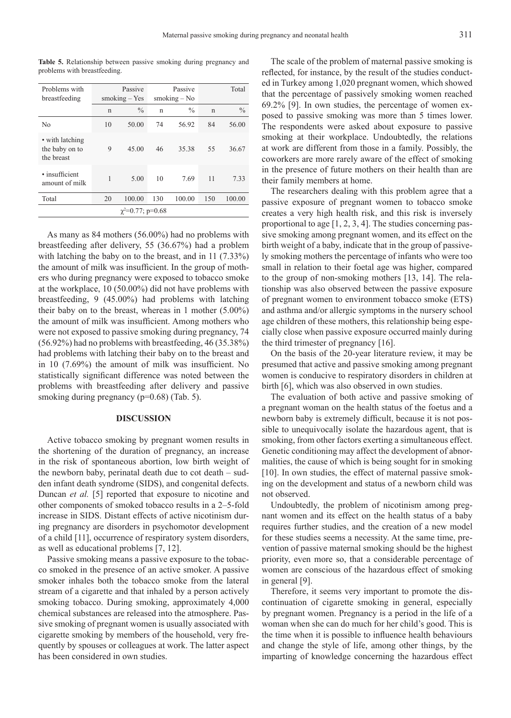| Problems with<br>breastfeeding                  | Passive<br>$smoking - Yes$ |               | Passive<br>smoking $-$ No |               |    | Total         |
|-------------------------------------------------|----------------------------|---------------|---------------------------|---------------|----|---------------|
|                                                 | $\mathbf n$                | $\frac{0}{0}$ | $\mathbf n$               | $\frac{0}{0}$ | n  | $\frac{0}{0}$ |
| No                                              | 10                         | 50.00         | 74                        | 56.92         | 84 | 56.00         |
| • with latching<br>the baby on to<br>the breast | 9                          | 45.00         | 46                        | 35.38         | 55 | 36.67         |
| · insufficient<br>amount of milk                |                            | 5.00          | 10                        | 7.69          | 11 | 7.33          |

Total 20 100.00 130 100.00 150 100.00 χ2 =0.77; p=0.68

**Table 5.** Relationship between passive smoking during pregnancy and problems with breastfeeding.

As many as 84 mothers (56.00%) had no problems with breastfeeding after delivery, 55 (36.67%) had a problem with latching the baby on to the breast, and in 11 (7.33%) the amount of milk was insufficient. In the group of mothers who during pregnancy were exposed to tobacco smoke at the workplace, 10 (50.00%) did not have problems with breastfeeding, 9 (45.00%) had problems with latching their baby on to the breast, whereas in 1 mother (5.00%) the amount of milk was insufficient. Among mothers who were not exposed to passive smoking during pregnancy, 74 (56.92%) had no problems with breastfeeding, 46 (35.38%) had problems with latching their baby on to the breast and in 10 (7.69%) the amount of milk was insufficient. No statistically significant difference was noted between the problems with breastfeeding after delivery and passive smoking during pregnancy (p=0.68) (Tab. 5).

## **DISCUSSION**

Active tobacco smoking by pregnant women results in the shortening of the duration of pregnancy, an increase in the risk of spontaneous abortion, low birth weight of the newborn baby, perinatal death due to cot death – sudden infant death syndrome (SIDS), and congenital defects. Duncan *et al.* [5] reported that exposure to nicotine and other components of smoked tobacco results in a 2–5-fold increase in SIDS. Distant effects of active nicotinism during pregnancy are disorders in psychomotor development of a child [11], occurrence of respiratory system disorders, as well as educational problems [7, 12].

Passive smoking means a passive exposure to the tobacco smoked in the presence of an active smoker. A passive smoker inhales both the tobacco smoke from the lateral stream of a cigarette and that inhaled by a person actively smoking tobacco. During smoking, approximately 4,000 chemical substances are released into the atmosphere. Passive smoking of pregnant women is usually associated with cigarette smoking by members of the household, very frequently by spouses or colleagues at work. The latter aspect has been considered in own studies.

The scale of the problem of maternal passive smoking is reflected, for instance, by the result of the studies conducted in Turkey among 1,020 pregnant women, which showed that the percentage of passively smoking women reached 69.2% [9]. In own studies, the percentage of women exposed to passive smoking was more than 5 times lower. The respondents were asked about exposure to passive smoking at their workplace. Undoubtedly, the relations at work are different from those in a family. Possibly, the coworkers are more rarely aware of the effect of smoking in the presence of future mothers on their health than are their family members at home.

The researchers dealing with this problem agree that a passive exposure of pregnant women to tobacco smoke creates a very high health risk, and this risk is inversely proportional to age [1, 2, 3, 4]. The studies concerning passive smoking among pregnant women, and its effect on the birth weight of a baby, indicate that in the group of passively smoking mothers the percentage of infants who were too small in relation to their foetal age was higher, compared to the group of non-smoking mothers [13, 14]. The relationship was also observed between the passive exposure of pregnant women to environment tobacco smoke (ETS) and asthma and/or allergic symptoms in the nursery school age children of these mothers, this relationship being especially close when passive exposure occurred mainly during the third trimester of pregnancy [16].

On the basis of the 20-year literature review, it may be presumed that active and passive smoking among pregnant women is conducive to respiratory disorders in children at birth [6], which was also observed in own studies.

The evaluation of both active and passive smoking of a pregnant woman on the health status of the foetus and a newborn baby is extremely difficult, because it is not possible to unequivocally isolate the hazardous agent, that is smoking, from other factors exerting a simultaneous effect. Genetic conditioning may affect the development of abnormalities, the cause of which is being sought for in smoking [10]. In own studies, the effect of maternal passive smoking on the development and status of a newborn child was not observed.

Undoubtedly, the problem of nicotinism among pregnant women and its effect on the health status of a baby requires further studies, and the creation of a new model for these studies seems a necessity. At the same time, prevention of passive maternal smoking should be the highest priority, even more so, that a considerable percentage of women are conscious of the hazardous effect of smoking in general [9].

Therefore, it seems very important to promote the discontinuation of cigarette smoking in general, especially by pregnant women. Pregnancy is a period in the life of a woman when she can do much for her child's good. This is the time when it is possible to influence health behaviours and change the style of life, among other things, by the imparting of knowledge concerning the hazardous effect